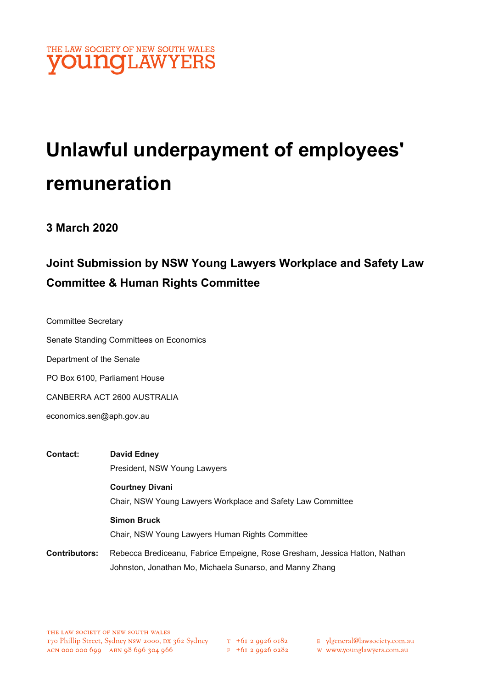

# Unlawful underpayment of employees' remuneration

### 3 March 2020

# Joint Submission by NSW Young Lawyers Workplace and Safety Law Committee & Human Rights Committee

Committee Secretary

Senate Standing Committees on Economics

Department of the Senate

PO Box 6100, Parliament House

CANBERRA ACT 2600 AUSTRALIA

economics.sen@aph.gov.au

- Contact: David Edney President, NSW Young Lawyers Courtney Divani Chair, NSW Young Lawyers Workplace and Safety Law Committee Simon Bruck Chair, NSW Young Lawyers Human Rights Committee
- Contributors: Rebecca Brediceanu, Fabrice Empeigne, Rose Gresham, Jessica Hatton, Nathan Johnston, Jonathan Mo, Michaela Sunarso, and Manny Zhang

T +61 2 9926 0182<br>F +61 2 9926 0282 w www.younglawyers.com.au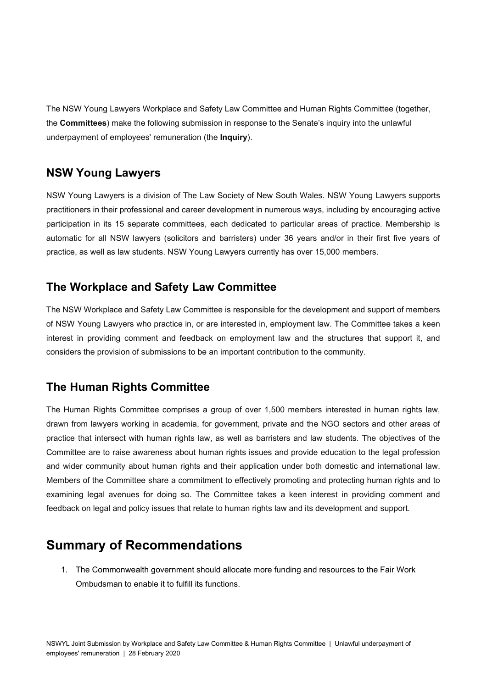The NSW Young Lawyers Workplace and Safety Law Committee and Human Rights Committee (together, the Committees) make the following submission in response to the Senate's inquiry into the unlawful underpayment of employees' remuneration (the Inquiry).

### NSW Young Lawyers

NSW Young Lawyers is a division of The Law Society of New South Wales. NSW Young Lawyers supports practitioners in their professional and career development in numerous ways, including by encouraging active participation in its 15 separate committees, each dedicated to particular areas of practice. Membership is automatic for all NSW lawyers (solicitors and barristers) under 36 years and/or in their first five years of practice, as well as law students. NSW Young Lawyers currently has over 15,000 members.

### The Workplace and Safety Law Committee

The NSW Workplace and Safety Law Committee is responsible for the development and support of members of NSW Young Lawyers who practice in, or are interested in, employment law. The Committee takes a keen interest in providing comment and feedback on employment law and the structures that support it, and considers the provision of submissions to be an important contribution to the community.

## The Human Rights Committee

The Human Rights Committee comprises a group of over 1,500 members interested in human rights law, drawn from lawyers working in academia, for government, private and the NGO sectors and other areas of practice that intersect with human rights law, as well as barristers and law students. The objectives of the Committee are to raise awareness about human rights issues and provide education to the legal profession and wider community about human rights and their application under both domestic and international law. Members of the Committee share a commitment to effectively promoting and protecting human rights and to examining legal avenues for doing so. The Committee takes a keen interest in providing comment and feedback on legal and policy issues that relate to human rights law and its development and support.

# Summary of Recommendations

1. The Commonwealth government should allocate more funding and resources to the Fair Work Ombudsman to enable it to fulfill its functions.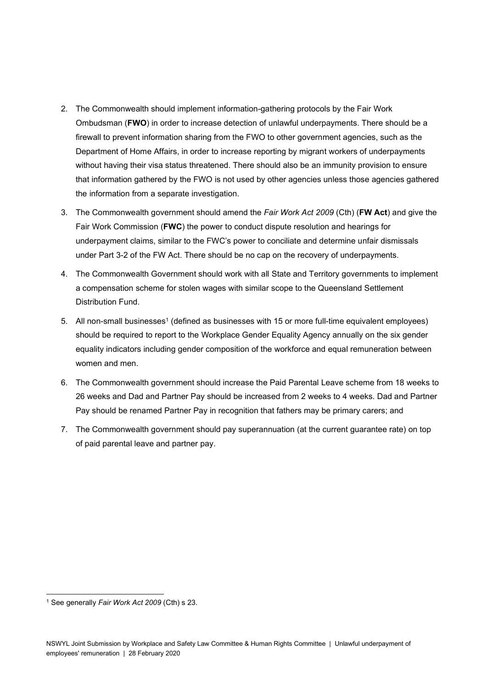- 2. The Commonwealth should implement information-gathering protocols by the Fair Work Ombudsman (FWO) in order to increase detection of unlawful underpayments. There should be a firewall to prevent information sharing from the FWO to other government agencies, such as the Department of Home Affairs, in order to increase reporting by migrant workers of underpayments without having their visa status threatened. There should also be an immunity provision to ensure that information gathered by the FWO is not used by other agencies unless those agencies gathered the information from a separate investigation.
- 3. The Commonwealth government should amend the Fair Work Act 2009 (Cth) (FW Act) and give the Fair Work Commission (FWC) the power to conduct dispute resolution and hearings for underpayment claims, similar to the FWC's power to conciliate and determine unfair dismissals under Part 3-2 of the FW Act. There should be no cap on the recovery of underpayments.
- 4. The Commonwealth Government should work with all State and Territory governments to implement a compensation scheme for stolen wages with similar scope to the Queensland Settlement Distribution Fund.
- 5. All non-small businesses<sup>1</sup> (defined as businesses with 15 or more full-time equivalent employees) should be required to report to the Workplace Gender Equality Agency annually on the six gender equality indicators including gender composition of the workforce and equal remuneration between women and men.
- 6. The Commonwealth government should increase the Paid Parental Leave scheme from 18 weeks to 26 weeks and Dad and Partner Pay should be increased from 2 weeks to 4 weeks. Dad and Partner Pay should be renamed Partner Pay in recognition that fathers may be primary carers; and
- 7. The Commonwealth government should pay superannuation (at the current guarantee rate) on top of paid parental leave and partner pay.

<sup>&</sup>lt;sup>1</sup> See generally Fair Work Act 2009 (Cth) s 23.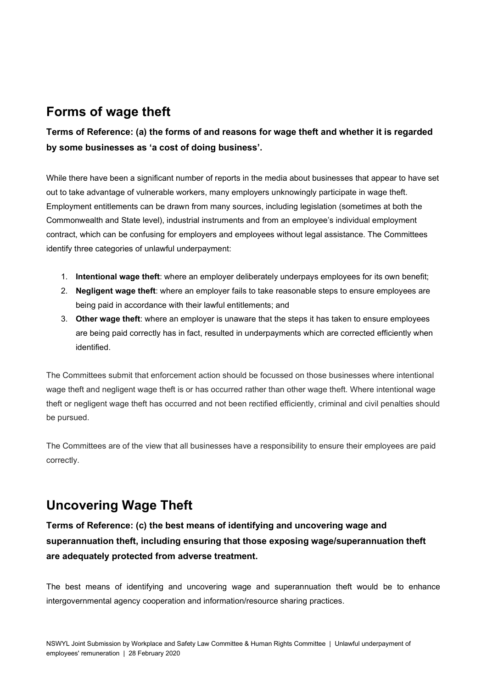# Forms of wage theft

### Terms of Reference: (a) the forms of and reasons for wage theft and whether it is regarded by some businesses as 'a cost of doing business'.

While there have been a significant number of reports in the media about businesses that appear to have set out to take advantage of vulnerable workers, many employers unknowingly participate in wage theft. Employment entitlements can be drawn from many sources, including legislation (sometimes at both the Commonwealth and State level), industrial instruments and from an employee's individual employment contract, which can be confusing for employers and employees without legal assistance. The Committees identify three categories of unlawful underpayment:

- 1. Intentional wage theft: where an employer deliberately underpays employees for its own benefit;
- 2. Negligent wage theft: where an employer fails to take reasonable steps to ensure employees are being paid in accordance with their lawful entitlements; and
- 3. Other wage theft: where an employer is unaware that the steps it has taken to ensure employees are being paid correctly has in fact, resulted in underpayments which are corrected efficiently when identified.

The Committees submit that enforcement action should be focussed on those businesses where intentional wage theft and negligent wage theft is or has occurred rather than other wage theft. Where intentional wage theft or negligent wage theft has occurred and not been rectified efficiently, criminal and civil penalties should be pursued.

The Committees are of the view that all businesses have a responsibility to ensure their employees are paid correctly.

# Uncovering Wage Theft

### Terms of Reference: (c) the best means of identifying and uncovering wage and superannuation theft, including ensuring that those exposing wage/superannuation theft are adequately protected from adverse treatment.

The best means of identifying and uncovering wage and superannuation theft would be to enhance intergovernmental agency cooperation and information/resource sharing practices.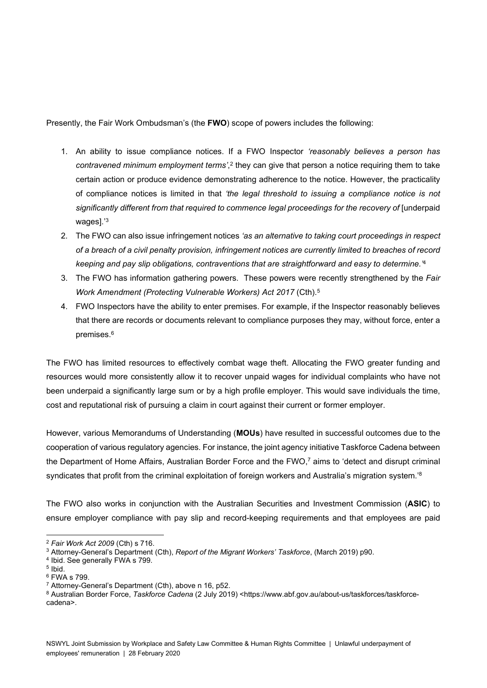Presently, the Fair Work Ombudsman's (the FWO) scope of powers includes the following:

- 1. An ability to issue compliance notices. If a FWO Inspector 'reasonably believes a person has contravened minimum employment terms',<sup>2</sup> they can give that person a notice requiring them to take certain action or produce evidence demonstrating adherence to the notice. However, the practicality of compliance notices is limited in that 'the legal threshold to issuing a compliance notice is not significantly different from that required to commence legal proceedings for the recovery of [underpaid wages].'<sup>3</sup>
- 2. The FWO can also issue infringement notices 'as an alternative to taking court proceedings in respect of a breach of a civil penalty provision, infringement notices are currently limited to breaches of record keeping and pay slip obligations, contraventions that are straightforward and easy to determine.<sup>4</sup>
- 3. The FWO has information gathering powers. These powers were recently strengthened by the Fair Work Amendment (Protecting Vulnerable Workers) Act 2017 (Cth).<sup>5</sup>
- 4. FWO Inspectors have the ability to enter premises. For example, if the Inspector reasonably believes that there are records or documents relevant to compliance purposes they may, without force, enter a premises.<sup>6</sup>

The FWO has limited resources to effectively combat wage theft. Allocating the FWO greater funding and resources would more consistently allow it to recover unpaid wages for individual complaints who have not been underpaid a significantly large sum or by a high profile employer. This would save individuals the time, cost and reputational risk of pursuing a claim in court against their current or former employer.

However, various Memorandums of Understanding (MOUs) have resulted in successful outcomes due to the cooperation of various regulatory agencies. For instance, the joint agency initiative Taskforce Cadena between the Department of Home Affairs, Australian Border Force and the FWO,<sup>7</sup> aims to 'detect and disrupt criminal syndicates that profit from the criminal exploitation of foreign workers and Australia's migration system.<sup>'8</sup>

The FWO also works in conjunction with the Australian Securities and Investment Commission (ASIC) to ensure employer compliance with pay slip and record-keeping requirements and that employees are paid

<sup>2</sup> Fair Work Act 2009 (Cth) s 716.

<sup>&</sup>lt;sup>3</sup> Attorney-General's Department (Cth), Report of the Migrant Workers' Taskforce, (March 2019) p90.

<sup>4</sup> Ibid. See generally FWA s 799.

<sup>5</sup> Ibid.

<sup>6</sup> FWA s 799.

<sup>7</sup> Attorney-General's Department (Cth), above n 16, p52.

<sup>&</sup>lt;sup>8</sup> Australian Border Force, *Taskforce Cadena* (2 July 2019) <https://www.abf.gov.au/about-us/taskforces/taskforcecadena>.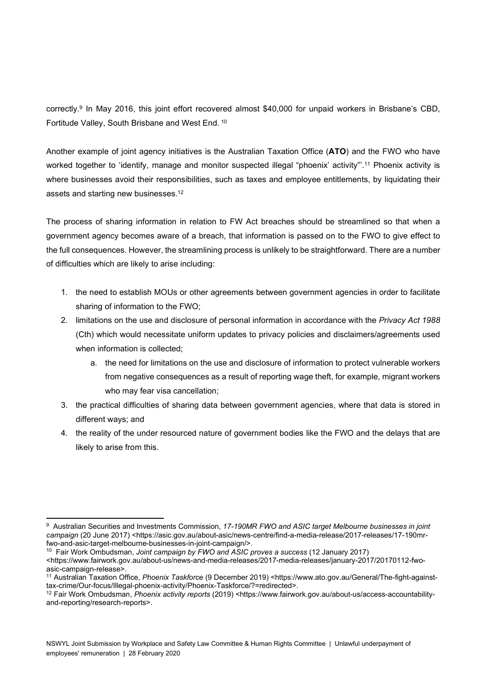correctly.<sup>9</sup> In May 2016, this joint effort recovered almost \$40,000 for unpaid workers in Brisbane's CBD, Fortitude Valley, South Brisbane and West End.<sup>10</sup>

Another example of joint agency initiatives is the Australian Taxation Office (ATO) and the FWO who have worked together to 'identify, manage and monitor suspected illegal "phoenix' activity".<sup>11</sup> Phoenix activity is where businesses avoid their responsibilities, such as taxes and employee entitlements, by liquidating their assets and starting new businesses.<sup>12</sup>

The process of sharing information in relation to FW Act breaches should be streamlined so that when a government agency becomes aware of a breach, that information is passed on to the FWO to give effect to the full consequences. However, the streamlining process is unlikely to be straightforward. There are a number of difficulties which are likely to arise including:

- 1. the need to establish MOUs or other agreements between government agencies in order to facilitate sharing of information to the FWO;
- 2. limitations on the use and disclosure of personal information in accordance with the Privacy Act 1988 (Cth) which would necessitate uniform updates to privacy policies and disclaimers/agreements used when information is collected;
	- a. the need for limitations on the use and disclosure of information to protect vulnerable workers from negative consequences as a result of reporting wage theft, for example, migrant workers who may fear visa cancellation;
- 3. the practical difficulties of sharing data between government agencies, where that data is stored in different ways; and
- 4. the reality of the under resourced nature of government bodies like the FWO and the delays that are likely to arise from this.

<sup>&</sup>lt;sup>9</sup> Australian Securities and Investments Commission, 17-190MR FWO and ASIC target Melbourne businesses in joint campaign (20 June 2017) <https://asic.gov.au/about-asic/news-centre/find-a-media-release/2017-releases/17-190mrfwo-and-asic-target-melbourne-businesses-in-joint-campaign/>.

<sup>&</sup>lt;sup>10</sup> Fair Work Ombudsman, Joint campaign by FWO and ASIC proves a success (12 January 2017) <https://www.fairwork.gov.au/about-us/news-and-media-releases/2017-media-releases/january-2017/20170112-fwoasic-campaign-release>.

<sup>11</sup> Australian Taxation Office, Phoenix Taskforce (9 December 2019) <https://www.ato.gov.au/General/The-fight-againsttax-crime/Our-focus/Illegal-phoenix-activity/Phoenix-Taskforce/?=redirected>.

<sup>12</sup> Fair Work Ombudsman, Phoenix activity reports (2019) <https://www.fairwork.gov.au/about-us/access-accountabilityand-reporting/research-reports>.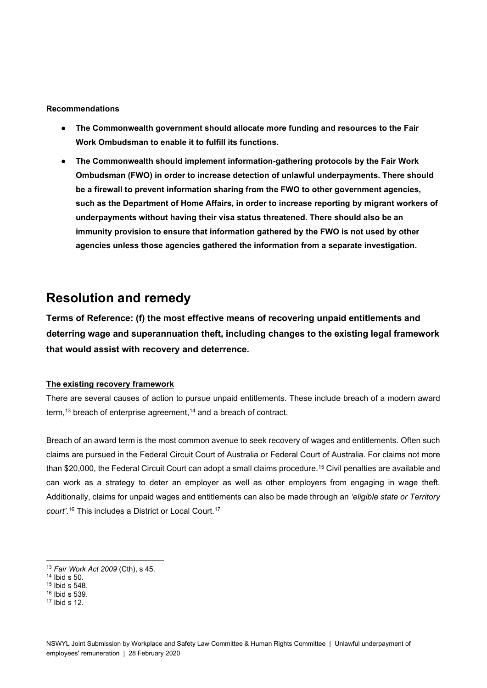#### Recommendations

- The Commonwealth government should allocate more funding and resources to the Fair Work Ombudsman to enable it to fulfill its functions.
- The Commonwealth should implement information-gathering protocols by the Fair Work Ombudsman (FWO) in order to increase detection of unlawful underpayments. There should be a firewall to prevent information sharing from the FWO to other government agencies, such as the Department of Home Affairs, in order to increase reporting by migrant workers of underpayments without having their visa status threatened. There should also be an immunity provision to ensure that information gathered by the FWO is not used by other agencies unless those agencies gathered the information from a separate investigation.

# Resolution and remedy

Terms of Reference: (f) the most effective means of recovering unpaid entitlements and deterring wage and superannuation theft, including changes to the existing legal framework that would assist with recovery and deterrence.

#### The existing recovery framework

There are several causes of action to pursue unpaid entitlements. These include breach of a modern award term,<sup>13</sup> breach of enterprise agreement,<sup>14</sup> and a breach of contract.

Breach of an award term is the most common avenue to seek recovery of wages and entitlements. Often such claims are pursued in the Federal Circuit Court of Australia or Federal Court of Australia. For claims not more than \$20,000, the Federal Circuit Court can adopt a small claims procedure.<sup>15</sup> Civil penalties are available and can work as a strategy to deter an employer as well as other employers from engaging in wage theft. Additionally, claims for unpaid wages and entitlements can also be made through an 'eligible state or Territory court'. <sup>16</sup> This includes a District or Local Court.<sup>17</sup>

<sup>13</sup> Fair Work Act 2009 (Cth), s 45.

<sup>14</sup> Ibid s 50.

<sup>15</sup> Ibid s 548.

<sup>16</sup> Ibid s 539.

<sup>17</sup> Ibid s 12.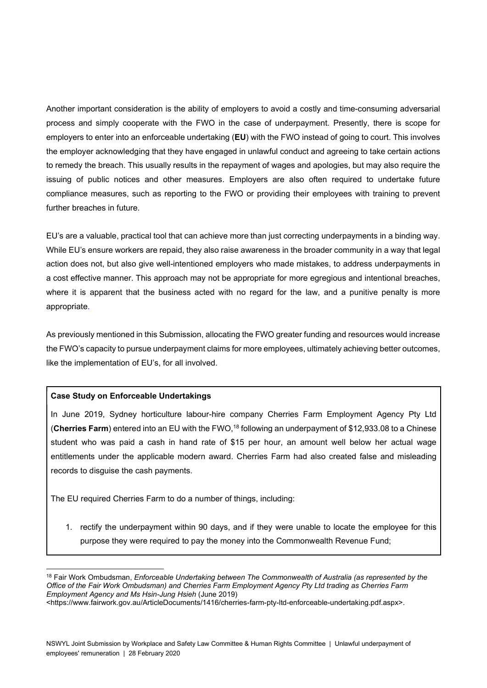Another important consideration is the ability of employers to avoid a costly and time-consuming adversarial process and simply cooperate with the FWO in the case of underpayment. Presently, there is scope for employers to enter into an enforceable undertaking (EU) with the FWO instead of going to court. This involves the employer acknowledging that they have engaged in unlawful conduct and agreeing to take certain actions to remedy the breach. This usually results in the repayment of wages and apologies, but may also require the issuing of public notices and other measures. Employers are also often required to undertake future compliance measures, such as reporting to the FWO or providing their employees with training to prevent further breaches in future.

EU's are a valuable, practical tool that can achieve more than just correcting underpayments in a binding way. While EU's ensure workers are repaid, they also raise awareness in the broader community in a way that legal action does not, but also give well-intentioned employers who made mistakes, to address underpayments in a cost effective manner. This approach may not be appropriate for more egregious and intentional breaches, where it is apparent that the business acted with no regard for the law, and a punitive penalty is more appropriate.

As previously mentioned in this Submission, allocating the FWO greater funding and resources would increase the FWO's capacity to pursue underpayment claims for more employees, ultimately achieving better outcomes, like the implementation of EU's, for all involved.

#### Case Study on Enforceable Undertakings

In June 2019, Sydney horticulture labour-hire company Cherries Farm Employment Agency Pty Ltd (Cherries Farm) entered into an EU with the FWO,<sup>18</sup> following an underpayment of \$12,933.08 to a Chinese student who was paid a cash in hand rate of \$15 per hour, an amount well below her actual wage entitlements under the applicable modern award. Cherries Farm had also created false and misleading records to disguise the cash payments.

The EU required Cherries Farm to do a number of things, including:

1. rectify the underpayment within 90 days, and if they were unable to locate the employee for this purpose they were required to pay the money into the Commonwealth Revenue Fund;

<sup>&</sup>lt;sup>18</sup> Fair Work Ombudsman, Enforceable Undertaking between The Commonwealth of Australia (as represented by the Office of the Fair Work Ombudsman) and Cherries Farm Employment Agency Pty Ltd trading as Cherries Farm Employment Agency and Ms Hsin-Jung Hsieh (June 2019)

<sup>&</sup>lt;https://www.fairwork.gov.au/ArticleDocuments/1416/cherries-farm-pty-ltd-enforceable-undertaking.pdf.aspx>.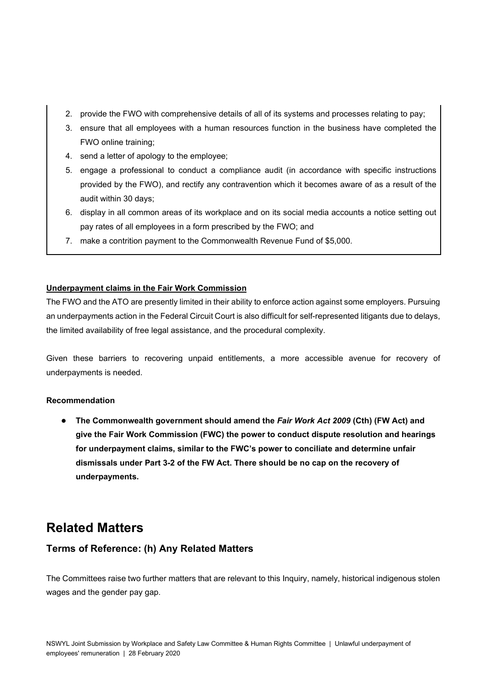- 2. provide the FWO with comprehensive details of all of its systems and processes relating to pay;
- 3. ensure that all employees with a human resources function in the business have completed the FWO online training;
- 4. send a letter of apology to the employee;
- 5. engage a professional to conduct a compliance audit (in accordance with specific instructions provided by the FWO), and rectify any contravention which it becomes aware of as a result of the audit within 30 days;
- 6. display in all common areas of its workplace and on its social media accounts a notice setting out pay rates of all employees in a form prescribed by the FWO; and
- 7. make a contrition payment to the Commonwealth Revenue Fund of \$5,000.

#### Underpayment claims in the Fair Work Commission

The FWO and the ATO are presently limited in their ability to enforce action against some employers. Pursuing an underpayments action in the Federal Circuit Court is also difficult for self-represented litigants due to delays, the limited availability of free legal assistance, and the procedural complexity.

Given these barriers to recovering unpaid entitlements, a more accessible avenue for recovery of underpayments is needed.

#### Recommendation

● The Commonwealth government should amend the Fair Work Act 2009 (Cth) (FW Act) and give the Fair Work Commission (FWC) the power to conduct dispute resolution and hearings for underpayment claims, similar to the FWC's power to conciliate and determine unfair dismissals under Part 3-2 of the FW Act. There should be no cap on the recovery of underpayments.

# Related Matters

#### Terms of Reference: (h) Any Related Matters

The Committees raise two further matters that are relevant to this Inquiry, namely, historical indigenous stolen wages and the gender pay gap.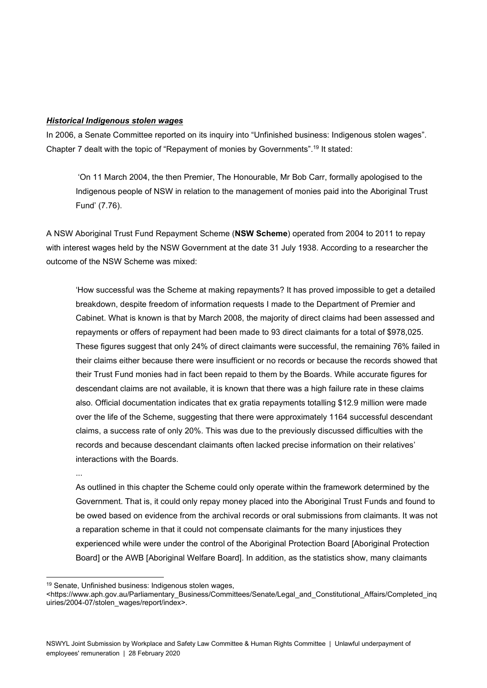#### Historical Indigenous stolen wages

In 2006, a Senate Committee reported on its inquiry into "Unfinished business: Indigenous stolen wages". Chapter 7 dealt with the topic of "Repayment of monies by Governments".<sup>19</sup> It stated:

 'On 11 March 2004, the then Premier, The Honourable, Mr Bob Carr, formally apologised to the Indigenous people of NSW in relation to the management of monies paid into the Aboriginal Trust Fund' (7.76).

A NSW Aboriginal Trust Fund Repayment Scheme (NSW Scheme) operated from 2004 to 2011 to repay with interest wages held by the NSW Government at the date 31 July 1938. According to a researcher the outcome of the NSW Scheme was mixed:

'How successful was the Scheme at making repayments? It has proved impossible to get a detailed breakdown, despite freedom of information requests I made to the Department of Premier and Cabinet. What is known is that by March 2008, the majority of direct claims had been assessed and repayments or offers of repayment had been made to 93 direct claimants for a total of \$978,025. These figures suggest that only 24% of direct claimants were successful, the remaining 76% failed in their claims either because there were insufficient or no records or because the records showed that their Trust Fund monies had in fact been repaid to them by the Boards. While accurate figures for descendant claims are not available, it is known that there was a high failure rate in these claims also. Official documentation indicates that ex gratia repayments totalling \$12.9 million were made over the life of the Scheme, suggesting that there were approximately 1164 successful descendant claims, a success rate of only 20%. This was due to the previously discussed difficulties with the records and because descendant claimants often lacked precise information on their relatives' interactions with the Boards.

...

As outlined in this chapter the Scheme could only operate within the framework determined by the Government. That is, it could only repay money placed into the Aboriginal Trust Funds and found to be owed based on evidence from the archival records or oral submissions from claimants. It was not a reparation scheme in that it could not compensate claimants for the many injustices they experienced while were under the control of the Aboriginal Protection Board [Aboriginal Protection Board] or the AWB [Aboriginal Welfare Board]. In addition, as the statistics show, many claimants

<sup>19</sup> Senate, Unfinished business: Indigenous stolen wages,

<sup>&</sup>lt;https://www.aph.gov.au/Parliamentary\_Business/Committees/Senate/Legal\_and\_Constitutional\_Affairs/Completed\_inq uiries/2004-07/stolen\_wages/report/index>.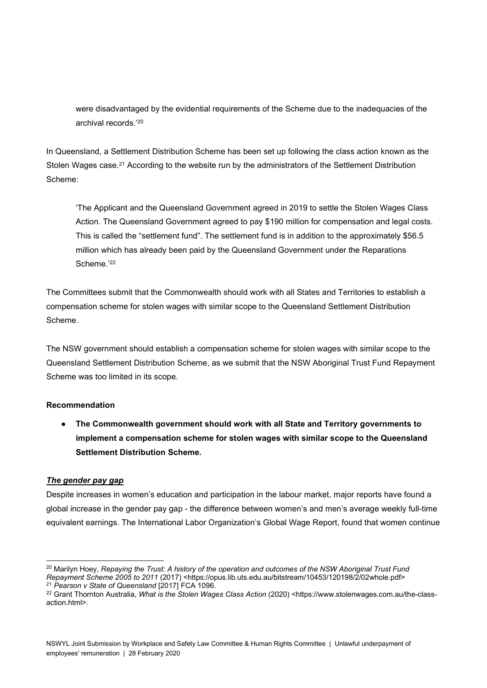were disadvantaged by the evidential requirements of the Scheme due to the inadequacies of the archival records.'<sup>20</sup>

In Queensland, a Settlement Distribution Scheme has been set up following the class action known as the Stolen Wages case.<sup>21</sup> According to the website run by the administrators of the Settlement Distribution Scheme:

'The Applicant and the Queensland Government agreed in 2019 to settle the Stolen Wages Class Action. The Queensland Government agreed to pay \$190 million for compensation and legal costs. This is called the "settlement fund". The settlement fund is in addition to the approximately \$56.5 million which has already been paid by the Queensland Government under the Reparations Scheme.'22

The Committees submit that the Commonwealth should work with all States and Territories to establish a compensation scheme for stolen wages with similar scope to the Queensland Settlement Distribution Scheme.

The NSW government should establish a compensation scheme for stolen wages with similar scope to the Queensland Settlement Distribution Scheme, as we submit that the NSW Aboriginal Trust Fund Repayment Scheme was too limited in its scope.

#### Recommendation

● The Commonwealth government should work with all State and Territory governments to implement a compensation scheme for stolen wages with similar scope to the Queensland Settlement Distribution Scheme.

#### The gender pay gap

Despite increases in women's education and participation in the labour market, major reports have found a global increase in the gender pay gap - the difference between women's and men's average weekly full-time equivalent earnings. The International Labor Organization's Global Wage Report, found that women continue

<sup>&</sup>lt;sup>20</sup> Marilyn Hoey, Repaying the Trust: A history of the operation and outcomes of the NSW Aboriginal Trust Fund Repayment Scheme 2005 to 2011 (2017) <https://opus.lib.uts.edu.au/bitstream/10453/120198/2/02whole.pdf>  $21$  Pearson v State of Queensland  $[2017]$  FCA 1096.

<sup>&</sup>lt;sup>22</sup> Grant Thornton Australia, What is the Stolen Wages Class Action (2020) <https://www.stolenwages.com.au/the-classaction.html>.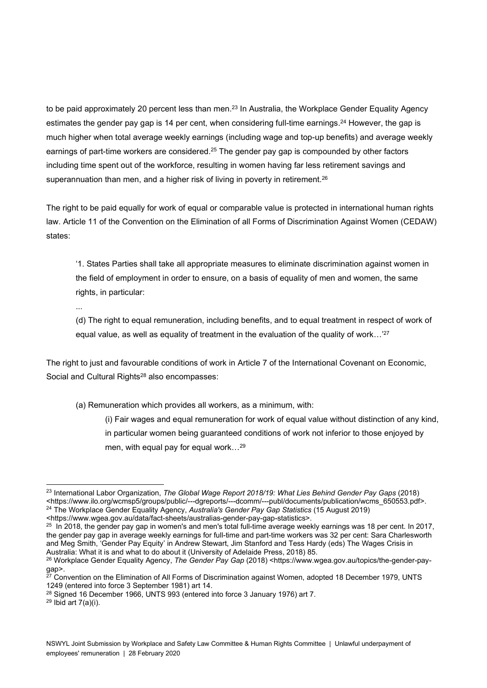to be paid approximately 20 percent less than men.<sup>23</sup> In Australia, the Workplace Gender Equality Agency estimates the gender pay gap is 14 per cent, when considering full-time earnings.<sup>24</sup> However, the gap is much higher when total average weekly earnings (including wage and top-up benefits) and average weekly earnings of part-time workers are considered.<sup>25</sup> The gender pay gap is compounded by other factors including time spent out of the workforce, resulting in women having far less retirement savings and superannuation than men, and a higher risk of living in poverty in retirement.<sup>26</sup>

The right to be paid equally for work of equal or comparable value is protected in international human rights law. Article 11 of the Convention on the Elimination of all Forms of Discrimination Against Women (CEDAW) states:

'1. States Parties shall take all appropriate measures to eliminate discrimination against women in the field of employment in order to ensure, on a basis of equality of men and women, the same rights, in particular:

...

(d) The right to equal remuneration, including benefits, and to equal treatment in respect of work of equal value, as well as equality of treatment in the evaluation of the quality of work...<sup>'27</sup>

The right to just and favourable conditions of work in Article 7 of the International Covenant on Economic, Social and Cultural Rights<sup>28</sup> also encompasses:

(a) Remuneration which provides all workers, as a minimum, with:

(i) Fair wages and equal remuneration for work of equal value without distinction of any kind, in particular women being guaranteed conditions of work not inferior to those enjoyed by men, with equal pay for equal work…<sup>29</sup>

<sup>&</sup>lt;sup>23</sup> International Labor Organization, The Global Wage Report 2018/19: What Lies Behind Gender Pay Gaps (2018) <https://www.ilo.org/wcmsp5/groups/public/---dgreports/---dcomm/---publ/documents/publication/wcms\_650553.pdf>. <sup>24</sup> The Workplace Gender Equality Agency, Australia's Gender Pay Gap Statistics (15 August 2019)

<sup>&</sup>lt;https://www.wgea.gov.au/data/fact-sheets/australias-gender-pay-gap-statistics>.

 $25$  In 2018, the gender pay gap in women's and men's total full-time average weekly earnings was 18 per cent. In 2017, the gender pay gap in average weekly earnings for full-time and part-time workers was 32 per cent: Sara Charlesworth and Meg Smith, 'Gender Pay Equity' in Andrew Stewart, Jim Stanford and Tess Hardy (eds) The Wages Crisis in Australia: What it is and what to do about it (University of Adelaide Press, 2018) 85.

<sup>&</sup>lt;sup>26</sup> Workplace Gender Equality Agency, *The Gender Pay Gap (2018)* <https://www.wgea.gov.au/topics/the-gender-paygap>.

<sup>&</sup>lt;sup>27</sup> Convention on the Elimination of All Forms of Discrimination against Women, adopted 18 December 1979, UNTS 1249 (entered into force 3 September 1981) art 14.

<sup>&</sup>lt;sup>28</sup> Signed 16 December 1966, UNTS 993 (entered into force 3 January 1976) art 7.

 $29$  Ibid art 7(a)(i).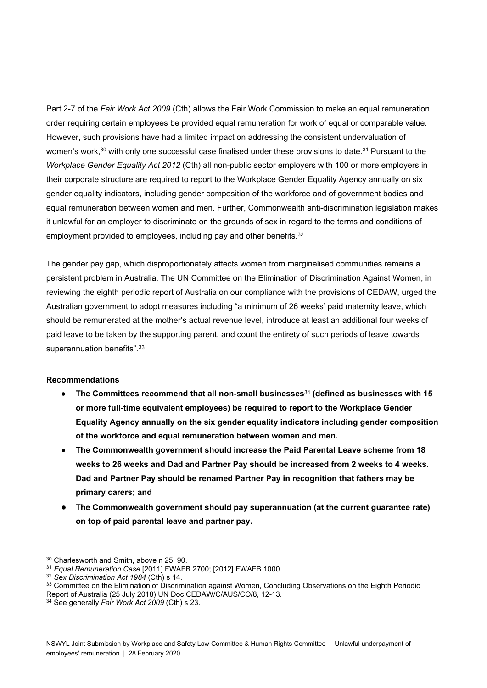Part 2-7 of the Fair Work Act 2009 (Cth) allows the Fair Work Commission to make an equal remuneration order requiring certain employees be provided equal remuneration for work of equal or comparable value. However, such provisions have had a limited impact on addressing the consistent undervaluation of women's work,<sup>30</sup> with only one successful case finalised under these provisions to date.<sup>31</sup> Pursuant to the Workplace Gender Equality Act 2012 (Cth) all non-public sector employers with 100 or more employers in their corporate structure are required to report to the Workplace Gender Equality Agency annually on six gender equality indicators, including gender composition of the workforce and of government bodies and equal remuneration between women and men. Further, Commonwealth anti-discrimination legislation makes it unlawful for an employer to discriminate on the grounds of sex in regard to the terms and conditions of employment provided to employees, including pay and other benefits.<sup>32</sup>

The gender pay gap, which disproportionately affects women from marginalised communities remains a persistent problem in Australia. The UN Committee on the Elimination of Discrimination Against Women, in reviewing the eighth periodic report of Australia on our compliance with the provisions of CEDAW, urged the Australian government to adopt measures including "a minimum of 26 weeks' paid maternity leave, which should be remunerated at the mother's actual revenue level, introduce at least an additional four weeks of paid leave to be taken by the supporting parent, and count the entirety of such periods of leave towards superannuation benefits".<sup>33</sup>

#### Recommendations

- $\bullet$  The Committees recommend that all non-small businesses $^{34}$  (defined as businesses with 15 or more full-time equivalent employees) be required to report to the Workplace Gender Equality Agency annually on the six gender equality indicators including gender composition of the workforce and equal remuneration between women and men.
- The Commonwealth government should increase the Paid Parental Leave scheme from 18 weeks to 26 weeks and Dad and Partner Pay should be increased from 2 weeks to 4 weeks. Dad and Partner Pay should be renamed Partner Pay in recognition that fathers may be primary carers; and
- The Commonwealth government should pay superannuation (at the current guarantee rate) on top of paid parental leave and partner pay.

<sup>30</sup> Charlesworth and Smith, above n 25, 90.

<sup>31</sup> Equal Remuneration Case [2011] FWAFB 2700; [2012] FWAFB 1000.

<sup>&</sup>lt;sup>32</sup> Sex Discrimination Act 1984 (Cth) s 14.

<sup>33</sup> Committee on the Elimination of Discrimination against Women, Concluding Observations on the Eighth Periodic Report of Australia (25 July 2018) UN Doc CEDAW/C/AUS/CO/8, 12-13.

<sup>&</sup>lt;sup>34</sup> See generally Fair Work Act 2009 (Cth) s 23.